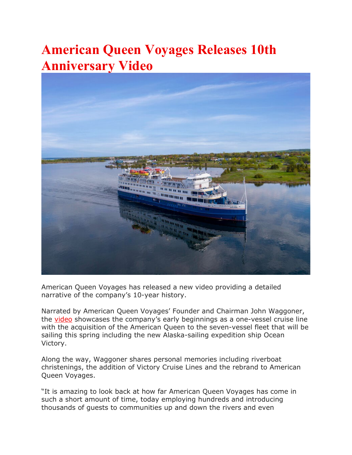## **American Queen Voyages Releases 10th Anniversary Video**



American Queen Voyages has released a new video providing a detailed narrative of the company's 10-year history.

Narrated by American Queen Voyages' Founder and Chairman John Waggoner, the [video](https://www.americanqueensteamboatcompany.com/10th-anniversary/) showcases the company's early beginnings as a one-vessel cruise line with the acquisition of the American Queen to the seven-vessel fleet that will be sailing this spring including the new Alaska-sailing expedition ship Ocean Victory.

Along the way, Waggoner shares personal memories including riverboat christenings, the addition of Victory Cruise Lines and the rebrand to American Queen Voyages.

"It is amazing to look back at how far American Queen Voyages has come in such a short amount of time, today employing hundreds and introducing thousands of guests to communities up and down the rivers and even